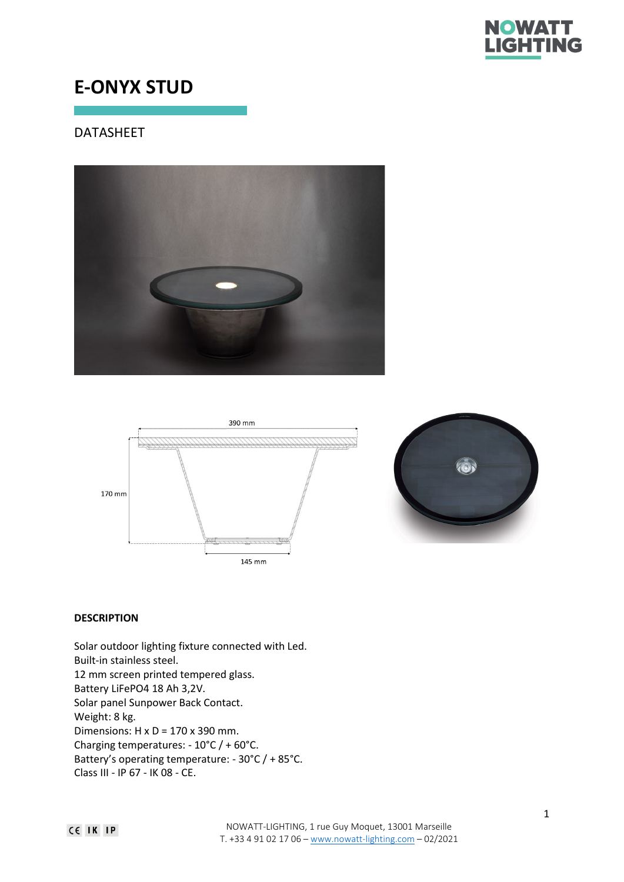

# **E-ONYX STUD**

# DATASHEET







# **DESCRIPTION**

Solar outdoor lighting fixture connected with Led. Built-in stainless steel. 12 mm screen printed tempered glass. Battery LiFePO4 18 Ah 3,2V. Solar panel Sunpower Back Contact. Weight: 8 kg. Dimensions:  $H \times D = 170 \times 390$  mm. Charging temperatures: - 10°C / + 60°C. Battery's operating temperature: - 30°C / + 85°C. Class III - IP 67 - IK 08 - CE.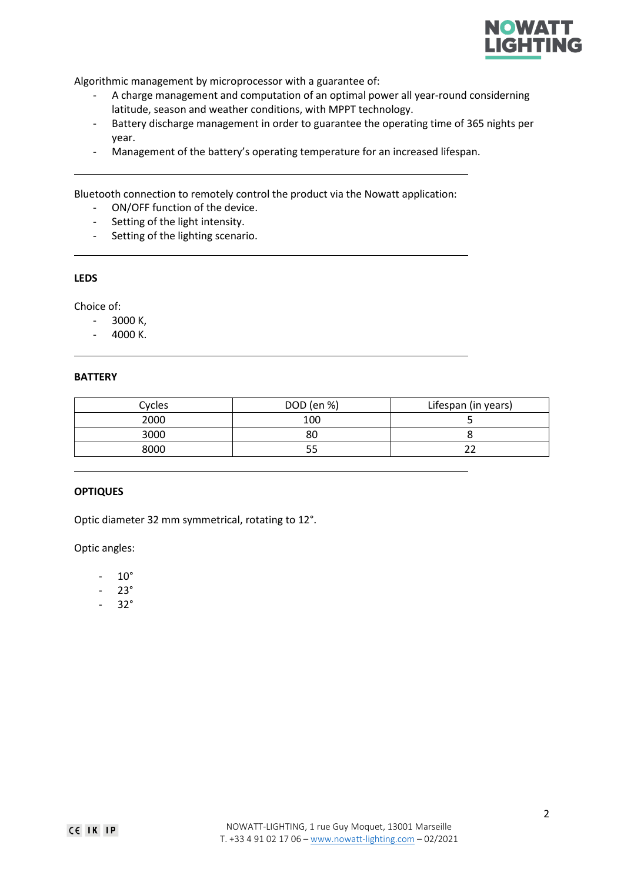

Algorithmic management by microprocessor with a guarantee of:

- A charge management and computation of an optimal power all year-round considerning latitude, season and weather conditions, with MPPT technology.
- Battery discharge management in order to guarantee the operating time of 365 nights per year.
- Management of the battery's operating temperature for an increased lifespan.

Bluetooth connection to remotely control the product via the Nowatt application:

- ON/OFF function of the device.
- Setting of the light intensity.
- Setting of the lighting scenario.

### **LEDS**

Choice of:

- 3000 K,
- 4000 K.

#### **BATTERY**

| Cycles | DOD (en %) | Lifespan (in years) |
|--------|------------|---------------------|
| 2000   | 100        |                     |
| 3000   | 80         |                     |
| 8000   |            |                     |

#### **OPTIQUES**

Optic diameter 32 mm symmetrical, rotating to 12°.

Optic angles:

- 10°
- 23°
- 32°